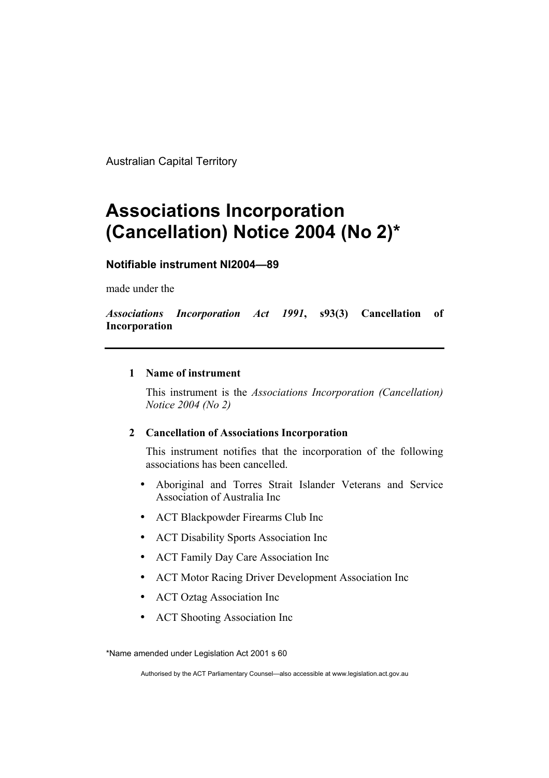Australian Capital Territory

## **Associations Incorporation (Cancellation) Notice 2004 (No 2)\***

## **Notifiable instrument NI2004—89**

made under the

*Associations Incorporation Act 1991***, s93(3) Cancellation of Incorporation**

## **1 Name of instrument**

This instrument is the *Associations Incorporation (Cancellation) Notice 2004 (No 2)* 

## **2 Cancellation of Associations Incorporation**

This instrument notifies that the incorporation of the following associations has been cancelled.

- Aboriginal and Torres Strait Islander Veterans and Service Association of Australia Inc
- ACT Blackpowder Firearms Club Inc
- ACT Disability Sports Association Inc
- ACT Family Day Care Association Inc
- ACT Motor Racing Driver Development Association Inc
- ACT Oztag Association Inc
- ACT Shooting Association Inc

\*Name amended under Legislation Act 2001 s 60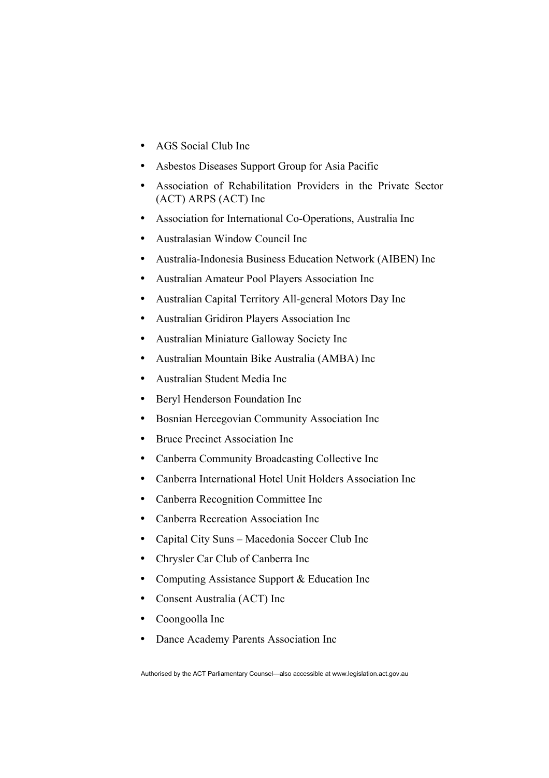- AGS Social Club Inc
- Asbestos Diseases Support Group for Asia Pacific
- Association of Rehabilitation Providers in the Private Sector (ACT) ARPS (ACT) Inc
- Association for International Co-Operations, Australia Inc
- Australasian Window Council Inc
- Australia-Indonesia Business Education Network (AIBEN) Inc
- Australian Amateur Pool Players Association Inc
- Australian Capital Territory All-general Motors Day Inc
- Australian Gridiron Players Association Inc
- Australian Miniature Galloway Society Inc
- Australian Mountain Bike Australia (AMBA) Inc
- Australian Student Media Inc
- Beryl Henderson Foundation Inc
- Bosnian Hercegovian Community Association Inc
- Bruce Precinct Association Inc
- Canberra Community Broadcasting Collective Inc
- Canberra International Hotel Unit Holders Association Inc
- Canberra Recognition Committee Inc
- Canberra Recreation Association Inc
- Capital City Suns Macedonia Soccer Club Inc
- Chrysler Car Club of Canberra Inc
- Computing Assistance Support & Education Inc
- Consent Australia (ACT) Inc
- Coongoolla Inc
- Dance Academy Parents Association Inc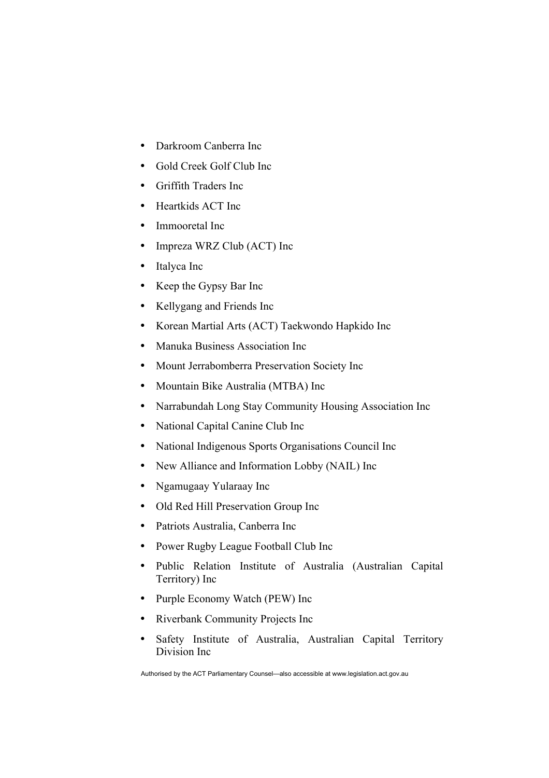- Darkroom Canberra Inc
- Gold Creek Golf Club Inc
- Griffith Traders Inc
- Heartkids ACT Inc
- Immooretal Inc
- Impreza WRZ Club (ACT) Inc
- Italyca Inc
- Keep the Gypsy Bar Inc
- Kellygang and Friends Inc
- Korean Martial Arts (ACT) Taekwondo Hapkido Inc
- Manuka Business Association Inc
- Mount Jerrabomberra Preservation Society Inc
- Mountain Bike Australia (MTBA) Inc
- Narrabundah Long Stay Community Housing Association Inc
- National Capital Canine Club Inc
- National Indigenous Sports Organisations Council Inc
- New Alliance and Information Lobby (NAIL) Inc
- Ngamugaay Yularaay Inc
- Old Red Hill Preservation Group Inc
- Patriots Australia, Canberra Inc
- Power Rugby League Football Club Inc
- Public Relation Institute of Australia (Australian Capital Territory) Inc
- Purple Economy Watch (PEW) Inc
- Riverbank Community Projects Inc
- Safety Institute of Australia, Australian Capital Territory Division Inc